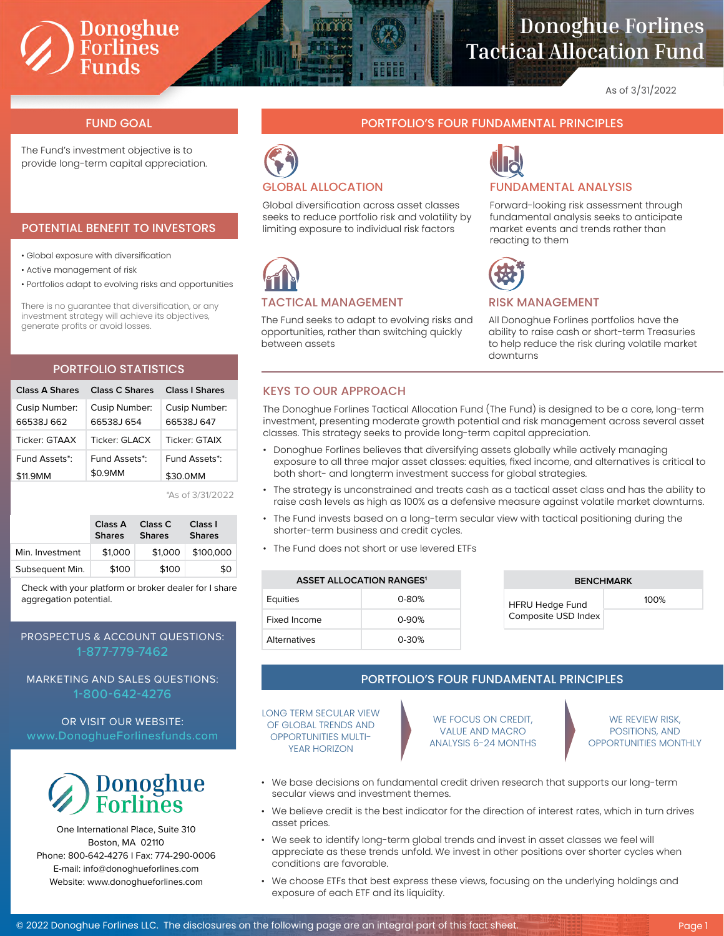# Donoghue<br>Forlines<br>Funds

## **Donoghue Forlines Tactical Allocation Fund**

As of 3/31/2022

The Fund's investment objective is to provide long-term capital appreciation.

#### POTENTIAL BENEFIT TO INVESTORS

• Global exposure with diversification

- Active management of risk
- Portfolios adapt to evolving risks and opportunities

There is no guarantee that diversification, or any investment strategy will achieve its objectives, generate profits or avoid losses.

### PORTFOLIO STATISTICS

| Class A Shares | Class C Shares | Class I Shares |
|----------------|----------------|----------------|
| Cusip Number:  | Cusip Number:  | Cusip Number:  |
| 66538.1662     | 66538 654      | 66538 647      |
| Ticker: GTAAX  | Ticker: GI ACX | Ticker: GTAIX  |
| Fund Assets*:  | Fund Assets*:  | Fund Assets*:  |
| \$11.9MM       | \$0.9MM        | \$30.0MM       |

\*As of 3/31/2022

|                 | Class A<br><b>Shares</b> | Class C<br><b>Shares</b> | Class I<br><b>Shares</b> |  |
|-----------------|--------------------------|--------------------------|--------------------------|--|
| Min. Investment | \$1,000                  | \$1,000                  | \$100,000                |  |
| Subsequent Min. | \$100                    | \$100                    | \$0                      |  |

Check with your platform or broker dealer for I share aggregation potential.

### PROSPECTUS & ACCOUNT QUESTIONS: 1-877-779-7462

MARKETING AND SALES QUESTIONS: 1-800-642-4276

OR VISIT OUR WEBSITE:



One International Place, Suite 310 Boston, MA 02110 Phone: 800-642-4276 I Fax: 774-290-0006 E-mail: info@donoghueforlines.com Website: www.donoghueforlines.com

#### FUND GOAL PORTFOLIO'S FOUR FUNDAMENTAL PRINCIPLES



Global diversification across asset classes seeks to reduce portfolio risk and volatility by limiting exposure to individual risk factors



#### TACTICAL MANAGEMENT

The Fund seeks to adapt to evolving risks and opportunities, rather than switching quickly between assets



Forward-looking risk assessment through fundamental analysis seeks to anticipate market events and trends rather than reacting to them



#### RISK MANAGEMENT

All Donoghue Forlines portfolios have the ability to raise cash or short-term Treasuries to help reduce the risk during volatile market downturns

#### KEYS TO OUR APPROACH

The Donoghue Forlines Tactical Allocation Fund (The Fund) is designed to be a core, long-term investment, presenting moderate growth potential and risk management across several asset classes. This strategy seeks to provide long-term capital appreciation.

- Donoghue Forlines believes that diversifying assets globally while actively managing exposure to all three major asset classes: equities, fixed income, and alternatives is critical to both short- and longterm investment success for global strategies.
- The strategy is unconstrained and treats cash as a tactical asset class and has the ability to raise cash levels as high as 100% as a defensive measure against volatile market downturns.
- The Fund invests based on a long-term secular view with tactical positioning during the shorter-term business and credit cycles.
- The Fund does not short or use levered ETFs

| <b>ASSET ALLOCATION RANGES<sup>1</sup></b> |           |  |  |
|--------------------------------------------|-----------|--|--|
| Equities                                   | $0 - 80%$ |  |  |
| Fixed Income                               | $0 - 90%$ |  |  |
| <b>Alternatives</b>                        | $0 - 30%$ |  |  |

|  | <b>BENCHMARK</b>                              |         |  |  |
|--|-----------------------------------------------|---------|--|--|
|  | <b>HFRU Hedge Fund</b><br>Composite USD Index | $100\%$ |  |  |
|  |                                               |         |  |  |

#### PORTFOLIO'S FOUR FUNDAMENTAL PRINCIPLES

LONG TERM SECULAR VIEW OF GLOBAL TRENDS AND OPPORTUNITIES MULTI-YEAR HORIZON

WE FOCUS ON CREDIT, VALUE AND MACRO ANALYSIS 6-24 MONTHS

WE REVIEW RISK, POSITIONS, AND OPPORTUNITIES MONTHLY

- We base decisions on fundamental credit driven research that supports our long-term secular views and investment themes.
- We believe credit is the best indicator for the direction of interest rates, which in turn drives asset prices.
- We seek to identify long-term global trends and invest in asset classes we feel will appreciate as these trends unfold. We invest in other positions over shorter cycles when conditions are favorable.
- We choose ETFs that best express these views, focusing on the underlying holdings and exposure of each ETF and its liquidity.